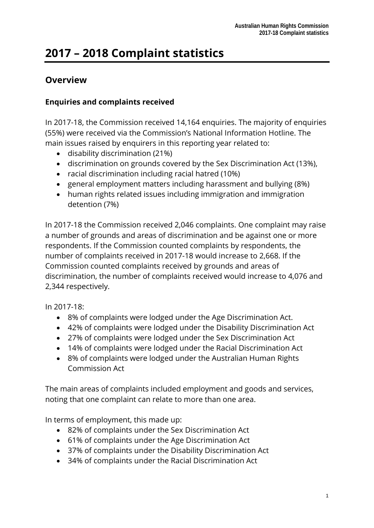# **2017 – 2018 Complaint statistics**

## **Overview**

### **Enquiries and complaints received**

In 2017-18, the Commission received 14,164 enquiries. The majority of enquiries (55%) were received via the Commission's National Information Hotline. The main issues raised by enquirers in this reporting year related to:

- disability discrimination (21%)
- discrimination on grounds covered by the Sex Discrimination Act (13%),
- racial discrimination including racial hatred (10%)
- general employment matters including harassment and bullying (8%)
- human rights related issues including immigration and immigration detention (7%)

In 2017-18 the Commission received 2,046 complaints. One complaint may raise a number of grounds and areas of discrimination and be against one or more respondents. If the Commission counted complaints by respondents, the number of complaints received in 2017-18 would increase to 2,668. If the Commission counted complaints received by grounds and areas of discrimination, the number of complaints received would increase to 4,076 and 2,344 respectively.

In 2017-18:

- 8% of complaints were lodged under the Age Discrimination Act.
- 42% of complaints were lodged under the Disability Discrimination Act
- 27% of complaints were lodged under the Sex Discrimination Act
- 14% of complaints were lodged under the Racial Discrimination Act
- 8% of complaints were lodged under the Australian Human Rights Commission Act

The main areas of complaints included employment and goods and services, noting that one complaint can relate to more than one area.

In terms of employment, this made up:

- 82% of complaints under the Sex Discrimination Act
- 61% of complaints under the Age Discrimination Act
- 37% of complaints under the Disability Discrimination Act
- 34% of complaints under the Racial Discrimination Act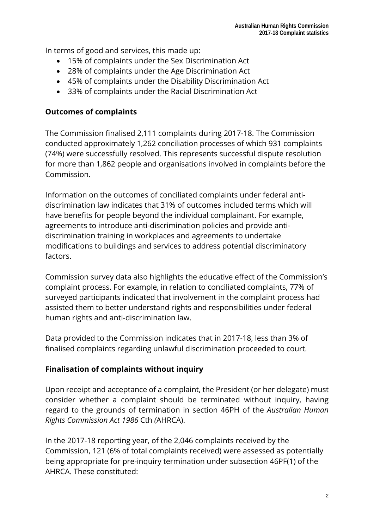In terms of good and services, this made up:

- 15% of complaints under the Sex Discrimination Act
- 28% of complaints under the Age Discrimination Act
- 45% of complaints under the Disability Discrimination Act
- 33% of complaints under the Racial Discrimination Act

#### **Outcomes of complaints**

The Commission finalised 2,111 complaints during 2017-18. The Commission conducted approximately 1,262 conciliation processes of which 931 complaints (74%) were successfully resolved. This represents successful dispute resolution for more than 1,862 people and organisations involved in complaints before the Commission.

Information on the outcomes of conciliated complaints under federal antidiscrimination law indicates that 31% of outcomes included terms which will have benefits for people beyond the individual complainant. For example, agreements to introduce anti-discrimination policies and provide antidiscrimination training in workplaces and agreements to undertake modifications to buildings and services to address potential discriminatory factors.

Commission survey data also highlights the educative effect of the Commission's complaint process. For example, in relation to conciliated complaints, 77% of surveyed participants indicated that involvement in the complaint process had assisted them to better understand rights and responsibilities under federal human rights and anti-discrimination law.

Data provided to the Commission indicates that in 2017-18, less than 3% of finalised complaints regarding unlawful discrimination proceeded to court.

### **Finalisation of complaints without inquiry**

Upon receipt and acceptance of a complaint, the President (or her delegate) must consider whether a complaint should be terminated without inquiry, having regard to the grounds of termination in section 46PH of the *Australian Human Rights Commission Act 1986* Cth *(*AHRCA).

In the 2017-18 reporting year, of the 2,046 complaints received by the Commission, 121 (6% of total complaints received) were assessed as potentially being appropriate for pre-inquiry termination under subsection 46PF(1) of the AHRCA. These constituted: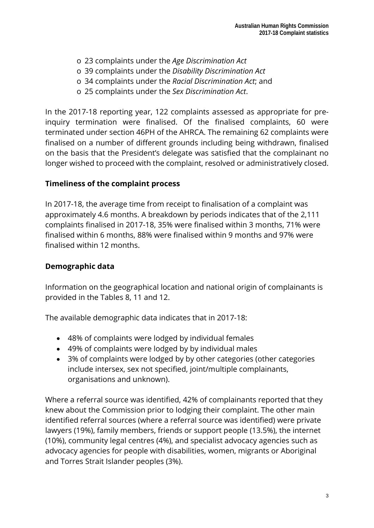- o 23 complaints under the *Age Discrimination Act*
- o 39 complaints under the *Disability Discrimination Act*
- o 34 complaints under the *Racial Discrimination Act*; and
- o 25 complaints under the *Sex Discrimination Act*.

In the 2017-18 reporting year, 122 complaints assessed as appropriate for preinquiry termination were finalised. Of the finalised complaints, 60 were terminated under section 46PH of the AHRCA. The remaining 62 complaints were finalised on a number of different grounds including being withdrawn, finalised on the basis that the President's delegate was satisfied that the complainant no longer wished to proceed with the complaint, resolved or administratively closed.

#### **Timeliness of the complaint process**

In 2017-18, the average time from receipt to finalisation of a complaint was approximately 4.6 months. A breakdown by periods indicates that of the 2,111 complaints finalised in 2017-18, 35% were finalised within 3 months, 71% were finalised within 6 months, 88% were finalised within 9 months and 97% were finalised within 12 months.

#### **Demographic data**

Information on the geographical location and national origin of complainants is provided in the Tables 8, 11 and 12.

The available demographic data indicates that in 2017-18:

- 48% of complaints were lodged by individual females
- 49% of complaints were lodged by by individual males
- 3% of complaints were lodged by by other categories (other categories include intersex, sex not specified, joint/multiple complainants, organisations and unknown).

Where a referral source was identified, 42% of complainants reported that they knew about the Commission prior to lodging their complaint. The other main identified referral sources (where a referral source was identified) were private lawyers (19%), family members, friends or support people (13.5%), the internet (10%), community legal centres (4%), and specialist advocacy agencies such as advocacy agencies for people with disabilities, women, migrants or Aboriginal and Torres Strait Islander peoples (3%).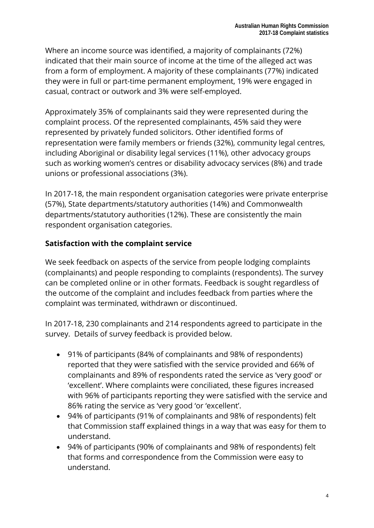Where an income source was identified, a majority of complainants (72%) indicated that their main source of income at the time of the alleged act was from a form of employment. A majority of these complainants (77%) indicated they were in full or part-time permanent employment, 19% were engaged in casual, contract or outwork and 3% were self-employed.

Approximately 35% of complainants said they were represented during the complaint process. Of the represented complainants, 45% said they were represented by privately funded solicitors. Other identified forms of representation were family members or friends (32%), community legal centres, including Aboriginal or disability legal services (11%), other advocacy groups such as working women's centres or disability advocacy services (8%) and trade unions or professional associations (3%).

In 2017-18, the main respondent organisation categories were private enterprise (57%), State departments/statutory authorities (14%) and Commonwealth departments/statutory authorities (12%). These are consistently the main respondent organisation categories.

#### **Satisfaction with the complaint service**

We seek feedback on aspects of the service from people lodging complaints (complainants) and people responding to complaints (respondents). The survey can be completed online or in other formats. Feedback is sought regardless of the outcome of the complaint and includes feedback from parties where the complaint was terminated, withdrawn or discontinued.

In 2017-18, 230 complainants and 214 respondents agreed to participate in the survey. Details of survey feedback is provided below.

- 91% of participants (84% of complainants and 98% of respondents) reported that they were satisfied with the service provided and 66% of complainants and 89% of respondents rated the service as 'very good' or 'excellent'. Where complaints were conciliated, these figures increased with 96% of participants reporting they were satisfied with the service and 86% rating the service as 'very good 'or 'excellent'.
- 94% of participants (91% of complainants and 98% of respondents) felt that Commission staff explained things in a way that was easy for them to understand.
- 94% of participants (90% of complainants and 98% of respondents) felt that forms and correspondence from the Commission were easy to understand.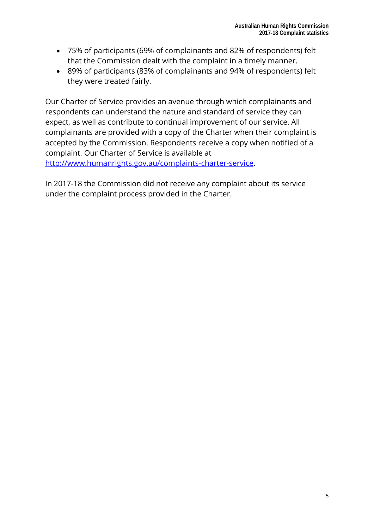- 75% of participants (69% of complainants and 82% of respondents) felt that the Commission dealt with the complaint in a timely manner.
- 89% of participants (83% of complainants and 94% of respondents) felt they were treated fairly.

Our Charter of Service provides an avenue through which complainants and respondents can understand the nature and standard of service they can expect, as well as contribute to continual improvement of our service. All complainants are provided with a copy of the Charter when their complaint is accepted by the Commission. Respondents receive a copy when notified of a complaint. Our Charter of Service is available at [http://www.humanrights.gov.au/complaints-charter-service.](http://www.humanrights.gov.au/complaints-charter-service)

In 2017-18 the Commission did not receive any complaint about its service under the complaint process provided in the Charter.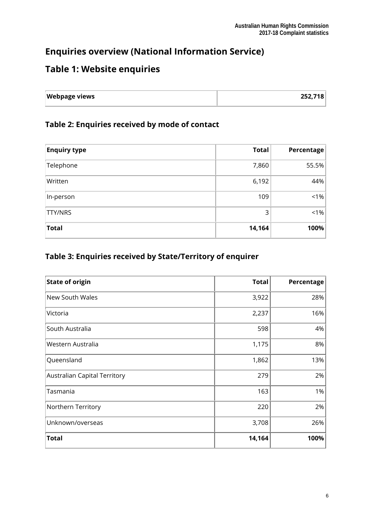## **Enquiries overview (National Information Service)**

## **Table 1: Website enquiries**

| <b>Webpage views</b> | 252,718 |
|----------------------|---------|
|                      |         |

## **Table 2: Enquiries received by mode of contact**

| <b>Enquiry type</b> | <b>Total</b> | Percentage |
|---------------------|--------------|------------|
| Telephone           | 7,860        | 55.5%      |
| Written             | 6,192        | 44%        |
| In-person           | 109          | $ 1\% $    |
| <b>TTY/NRS</b>      | 3            | $1\%$      |
| <b>Total</b>        | 14,164       | 100%       |

#### **Table 3: Enquiries received by State/Territory of enquirer**

| <b>State of origin</b>       | <b>Total</b> | Percentage |
|------------------------------|--------------|------------|
| New South Wales              | 3,922        | 28%        |
| Victoria                     | 2,237        | 16%        |
| South Australia              | 598          | 4%         |
| Western Australia            | 1,175        | 8%         |
| Queensland                   | 1,862        | 13%        |
| Australian Capital Territory | 279          | 2%         |
| Tasmania                     | 163          | 1%         |
| Northern Territory           | 220          | 2%         |
| Unknown/overseas             | 3,708        | 26%        |
| <b>Total</b>                 | 14,164       | 100%       |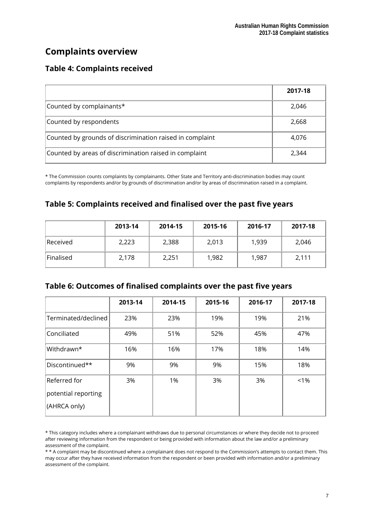## **Complaints overview**

#### **Table 4: Complaints received**

|                                                          | 2017-18 |
|----------------------------------------------------------|---------|
| Counted by complainants*                                 | 2,046   |
| Counted by respondents                                   | 2,668   |
| Counted by grounds of discrimination raised in complaint | 4,076   |
| Counted by areas of discrimination raised in complaint   | 2.344   |

\* The Commission counts complaints by complainants. Other State and Territory anti-discrimination bodies may count complaints by respondents and/or by grounds of discrimination and/or by areas of discrimination raised in a complaint.

## **Table 5: Complaints received and finalised over the past five years**

|           | 2013-14 | 2014-15 | 2015-16 | 2016-17 | 2017-18 |
|-----------|---------|---------|---------|---------|---------|
| Received  | 2,223   | 2,388   | 2,013   | 1,939   | 2,046   |
| Finalised | 2,178   | 2,251   | 1,982   | 1,987   | 2,111   |

| Table 6: Outcomes of finalised complaints over the past five years |  |  |
|--------------------------------------------------------------------|--|--|
|--------------------------------------------------------------------|--|--|

|                                                     | 2013-14 | 2014-15 | 2015-16 | 2016-17 | 2017-18 |
|-----------------------------------------------------|---------|---------|---------|---------|---------|
| Terminated/declined                                 | 23%     | 23%     | 19%     | 19%     | 21%     |
| Conciliated                                         | 49%     | 51%     | 52%     | 45%     | 47%     |
| Withdrawn*                                          | 16%     | 16%     | 17%     | 18%     | 14%     |
| Discontinued**                                      | 9%      | 9%      | 9%      | 15%     | 18%     |
| Referred for<br>potential reporting<br>(AHRCA only) | 3%      | 1%      | 3%      | 3%      | $< 1\%$ |

<sup>\*</sup> This category includes where a complainant withdraws due to personal circumstances or where they decide not to proceed after reviewing information from the respondent or being provided with information about the law and/or a preliminary assessment of the complaint.

\* \* A complaint may be discontinued where a complainant does not respond to the Commission's attempts to contact them. This may occur after they have received information from the respondent or been provided with information and/or a preliminary assessment of the complaint.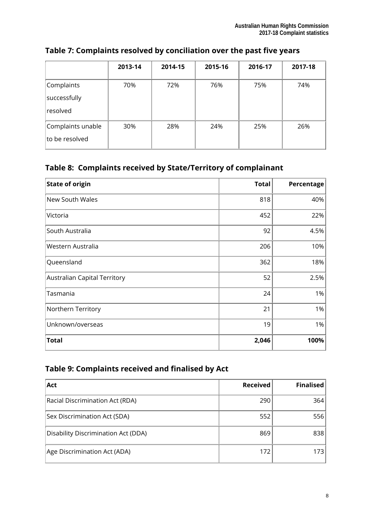|                                        | 2013-14 | 2014-15 | 2015-16 | 2016-17 | 2017-18 |
|----------------------------------------|---------|---------|---------|---------|---------|
| Complaints<br>successfully<br>resolved | 70%     | 72%     | 76%     | 75%     | 74%     |
| Complaints unable<br>to be resolved    | 30%     | 28%     | 24%     | 25%     | 26%     |

### **Table 7: Complaints resolved by conciliation over the past five years**

## **Table 8: Complaints received by State/Territory of complainant**

| <b>State of origin</b>       | <b>Total</b> | Percentage |
|------------------------------|--------------|------------|
| New South Wales              | 818          | 40%        |
| Victoria                     | 452          | 22%        |
| South Australia              | 92           | 4.5%       |
| Western Australia            | 206          | 10%        |
| Queensland                   | 362          | 18%        |
| Australian Capital Territory | 52           | 2.5%       |
| Tasmania                     | 24           | 1%         |
| Northern Territory           | 21           | 1%         |
| Unknown/overseas             | 19           | 1%         |
| <b>Total</b>                 | 2,046        | 100%       |

## **Table 9: Complaints received and finalised by Act**

| Act                                 | <b>Received</b> | <b>Finalised</b> |
|-------------------------------------|-----------------|------------------|
| Racial Discrimination Act (RDA)     | 290             | 364              |
| Sex Discrimination Act (SDA)        | 552             | 556              |
| Disability Discrimination Act (DDA) | 869             | 838              |
| Age Discrimination Act (ADA)        | 172             | 173              |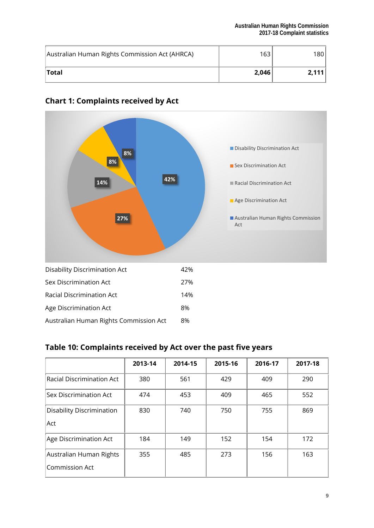| Australian Human Rights Commission Act (AHRCA) | 163 <sub>1</sub> | 180   |
|------------------------------------------------|------------------|-------|
| ˈTotal                                         | 2,046            | 2.111 |



### **Chart 1: Complaints received by Act**

#### **Table 10: Complaints received by Act over the past five years**

|                                                  | 2013-14 | 2014-15 | 2015-16 | 2016-17 | 2017-18 |
|--------------------------------------------------|---------|---------|---------|---------|---------|
| <b>Racial Discrimination Act</b>                 | 380     | 561     | 429     | 409     | 290     |
| Sex Discrimination Act                           | 474     | 453     | 409     | 465     | 552     |
| Disability Discrimination<br>Act                 | 830     | 740     | 750     | 755     | 869     |
| Age Discrimination Act                           | 184     | 149     | 152     | 154     | 172     |
| Australian Human Rights<br><b>Commission Act</b> | 355     | 485     | 273     | 156     | 163     |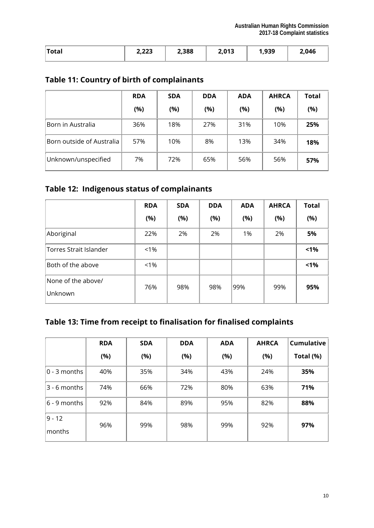| $T$ otal<br>TOLAI | ר רח<br>2,22J | ∠,388 | 2,013 | ดวด<br>, , , , , | 2,046 |
|-------------------|---------------|-------|-------|------------------|-------|
|                   |               |       |       |                  |       |

### **Table 11: Country of birth of complainants**

|                           | <b>RDA</b> | <b>SDA</b> | <b>DDA</b> | <b>ADA</b> | <b>AHRCA</b> | <b>Total</b> |
|---------------------------|------------|------------|------------|------------|--------------|--------------|
|                           | (%)        | (%)        | (%)        | (%)        | (%)          | (%)          |
| Born in Australia         | 36%        | 18%        | 27%        | 31%        | 10%          | 25%          |
| Born outside of Australia | 57%        | 10%        | 8%         | 13%        | 34%          | 18%          |
| Unknown/unspecified       | 7%         | 72%        | 65%        | 56%        | 56%          | 57%          |

## **Table 12: Indigenous status of complainants**

|                               | <b>RDA</b> | <b>SDA</b> | <b>DDA</b> | <b>ADA</b> | <b>AHRCA</b> | <b>Total</b> |
|-------------------------------|------------|------------|------------|------------|--------------|--------------|
|                               | (%)        | (%)        | (%)        | (%)        | (%)          | (%)          |
| Aboriginal                    | 22%        | 2%         | 2%         | 1%         | 2%           | 5%           |
| Torres Strait Islander        | $< 1\%$    |            |            |            |              | 1%           |
| Both of the above             | $< 1\%$    |            |            |            |              | 1%           |
| None of the above/<br>Unknown | 76%        | 98%        | 98%        | 99%        | 99%          | 95%          |

## **Table 13: Time from receipt to finalisation for finalised complaints**

|                    | <b>RDA</b> | <b>SDA</b> | <b>DDA</b> | <b>ADA</b> | <b>AHRCA</b> | <b>Cumulative</b> |
|--------------------|------------|------------|------------|------------|--------------|-------------------|
|                    | (%)        | (%)        | (%)        | (%)        | (%)          | Total (%)         |
| $0 - 3$ months     | 40%        | 35%        | 34%        | 43%        | 24%          | 35%               |
| $3 - 6$ months     | 74%        | 66%        | 72%        | 80%        | 63%          | 71%               |
| $6 - 9$ months     | 92%        | 84%        | 89%        | 95%        | 82%          | 88%               |
| $9 - 12$<br>months | 96%        | 99%        | 98%        | 99%        | 92%          | 97%               |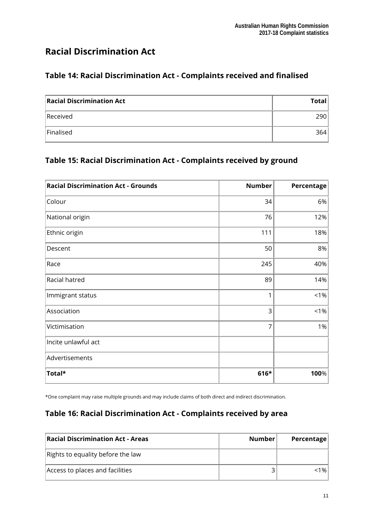## **Racial Discrimination Act**

#### **Table 14: Racial Discrimination Act - Complaints received and finalised**

| <b>Racial Discrimination Act</b> | <b>Total</b> |
|----------------------------------|--------------|
| Received                         | 290          |
| Finalised                        | 364          |

#### **Table 15: Racial Discrimination Act - Complaints received by ground**

| <b>Racial Discrimination Act - Grounds</b> | <b>Number</b> | Percentage |
|--------------------------------------------|---------------|------------|
| Colour                                     | 34            | 6%         |
| National origin                            | 76            | 12%        |
| Ethnic origin                              | 111           | 18%        |
| Descent                                    | 50            | 8%         |
| Race                                       | 245           | 40%        |
| Racial hatred                              | 89            | 14%        |
| Immigrant status                           |               | $< 1\%$    |
| Association                                | 3             | $< 1\%$    |
| Victimisation                              | 7             | 1%         |
| Incite unlawful act                        |               |            |
| Advertisements                             |               |            |
| Total*                                     | 616*          | 100%       |

\*One complaint may raise multiple grounds and may include claims of both direct and indirect discrimination.

#### **Table 16: Racial Discrimination Act - Complaints received by area**

| <b>Racial Discrimination Act - Areas</b> | Number | Percentage |
|------------------------------------------|--------|------------|
| Rights to equality before the law        |        |            |
| Access to places and facilities          |        | 1% l       |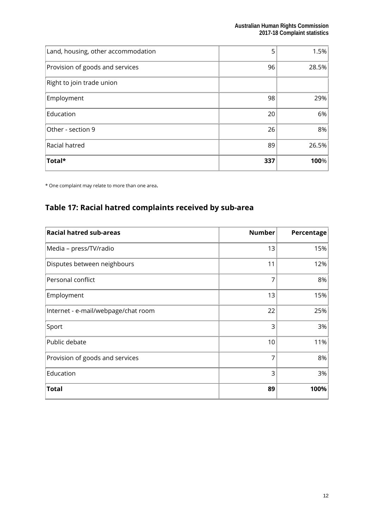| Land, housing, other accommodation | 5   | 1.5%  |
|------------------------------------|-----|-------|
| Provision of goods and services    | 96  | 28.5% |
| Right to join trade union          |     |       |
| Employment                         | 98  | 29%   |
| Education                          | 20  | 6%    |
| Other - section 9                  | 26  | 8%    |
| Racial hatred                      | 89  | 26.5% |
| Total*                             | 337 | 100%  |

\* One complaint may relate to more than one area.

## **Table 17: Racial hatred complaints received by sub-area**

| <b>Racial hatred sub-areas</b>      | <b>Number</b> | Percentage |
|-------------------------------------|---------------|------------|
| Media - press/TV/radio              | 13            | 15%        |
| Disputes between neighbours         | 11            | 12%        |
| Personal conflict                   | 7             | 8%         |
| Employment                          | 13            | 15%        |
| Internet - e-mail/webpage/chat room | 22            | 25%        |
| Sport                               | 3             | 3%         |
| Public debate                       | 10            | 11%        |
| Provision of goods and services     | 7             | 8%         |
| Education                           | 3             | 3%         |
| <b>Total</b>                        | 89            | 100%       |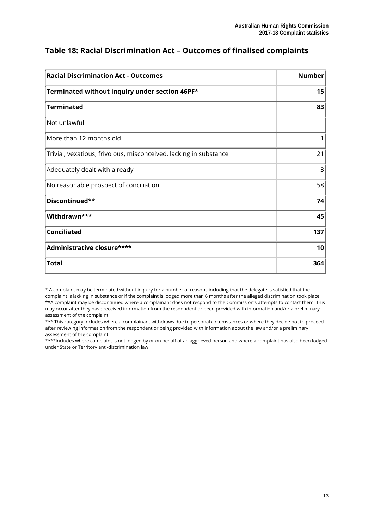| <b>Racial Discrimination Act - Outcomes</b>                       | <b>Number</b> |
|-------------------------------------------------------------------|---------------|
| Terminated without inquiry under section 46PF*                    | 15            |
| <b>Terminated</b>                                                 | 83            |
| Not unlawful                                                      |               |
| More than 12 months old                                           |               |
| Trivial, vexatious, frivolous, misconceived, lacking in substance | 21            |
| Adequately dealt with already                                     | 3             |
| No reasonable prospect of conciliation                            | 58            |
| Discontinued**                                                    | 74            |
| Withdrawn***                                                      | 45            |
| <b>Conciliated</b>                                                | 137           |
| Administrative closure****                                        | 10            |
| <b>Total</b>                                                      | 364           |

#### **Table 18: Racial Discrimination Act – Outcomes of finalised complaints**

\* A complaint may be terminated without inquiry for a number of reasons including that the delegate is satisfied that the complaint is lacking in substance or if the complaint is lodged more than 6 months after the alleged discrimination took place \*\*A complaint may be discontinued where a complainant does not respond to the Commission's attempts to contact them. This may occur after they have received information from the respondent or been provided with information and/or a preliminary assessment of the complaint.

\*\*\* This category includes where a complainant withdraws due to personal circumstances or where they decide not to proceed after reviewing information from the respondent or being provided with information about the law and/or a preliminary assessment of the complaint.

\*\*\*\*Includes where complaint is not lodged by or on behalf of an aggrieved person and where a complaint has also been lodged under State or Territory anti-discrimination law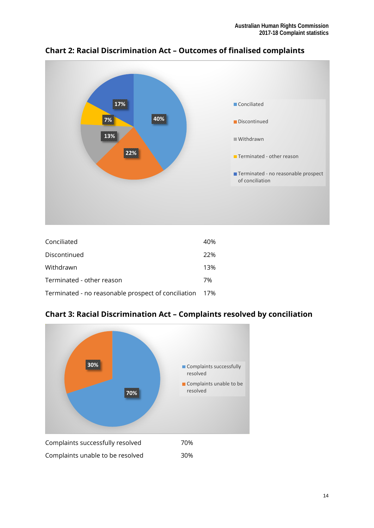

**Chart 2: Racial Discrimination Act – Outcomes of finalised complaints** 

| Conciliated                                             | 40% |
|---------------------------------------------------------|-----|
| Discontinued                                            | 22% |
| Withdrawn                                               | 13% |
| Terminated - other reason                               | 7%  |
| Terminated - no reasonable prospect of conciliation 17% |     |

**Chart 3: Racial Discrimination Act – Complaints resolved by conciliation** 

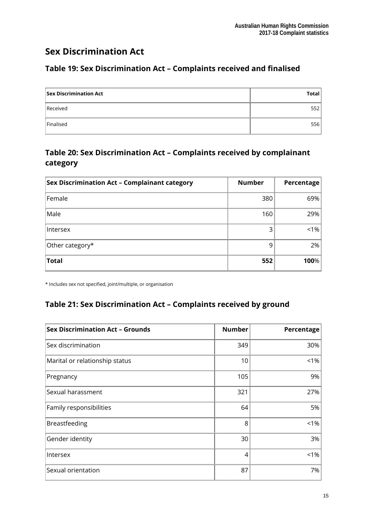## **Sex Discrimination Act**

## **Table 19: Sex Discrimination Act – Complaints received and finalised**

| <b>Sex Discrimination Act</b> | Total |
|-------------------------------|-------|
| Received                      | 552   |
| Finalised                     | 556   |

### **Table 20: Sex Discrimination Act – Complaints received by complainant category**

| <b>Sex Discrimination Act - Complainant category</b> | <b>Number</b> | Percentage |
|------------------------------------------------------|---------------|------------|
| Female                                               | 380           | 69%        |
| Male                                                 | 160           | 29%        |
| Intersex                                             |               | $1\%$      |
| Other category*                                      | 9             | 2%         |
| <b>Total</b>                                         | 552           | 100%       |

\* Includes sex not specified, joint/multiple, or organisation

### **Table 21: Sex Discrimination Act – Complaints received by ground**

| <b>Sex Discrimination Act - Grounds</b> | <b>Number</b> | Percentage |
|-----------------------------------------|---------------|------------|
| Sex discrimination                      | 349           | 30%        |
| Marital or relationship status          | 10            | $< 1\%$    |
| Pregnancy                               | 105           | 9%         |
| Sexual harassment                       | 321           | 27%        |
| Family responsibilities                 | 64            | 5%         |
| Breastfeeding                           | 8             | $< 1\%$    |
| Gender identity                         | 30            | 3%         |
| Intersex                                | 4             | $< 1\%$    |
| Sexual orientation                      | 87            | 7%         |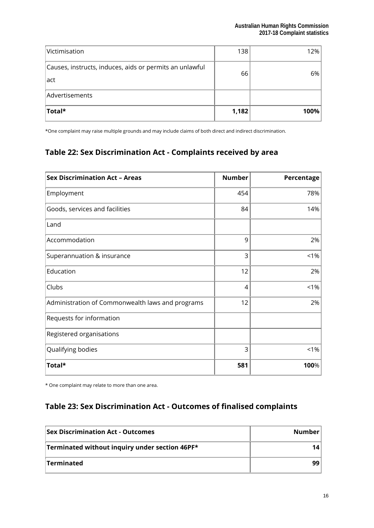| Victimisation                                                   | 138   | 12%  |
|-----------------------------------------------------------------|-------|------|
| Causes, instructs, induces, aids or permits an unlawful<br>act. | 66    | 6%   |
| Advertisements                                                  |       |      |
| Total*                                                          | 1,182 | 100% |

\*One complaint may raise multiple grounds and may include claims of both direct and indirect discrimination.

### **Table 22: Sex Discrimination Act - Complaints received by area**

| <b>Sex Discrimination Act - Areas</b>            | <b>Number</b>  | Percentage |
|--------------------------------------------------|----------------|------------|
| Employment                                       | 454            | 78%        |
| Goods, services and facilities                   | 84             | 14%        |
| Land                                             |                |            |
| Accommodation                                    | 9              | 2%         |
| Superannuation & insurance                       | 3              | $< 1\%$    |
| Education                                        | 12             | 2%         |
| Clubs                                            | $\overline{4}$ | $1\%$      |
| Administration of Commonwealth laws and programs | 12             | 2%         |
| Requests for information                         |                |            |
| Registered organisations                         |                |            |
| Qualifying bodies                                | 3              | $< 1\%$    |
| Total*                                           | 581            | 100%       |

\* One complaint may relate to more than one area.

## **Table 23: Sex Discrimination Act - Outcomes of finalised complaints**

| <b>Sex Discrimination Act - Outcomes</b>       | Number |
|------------------------------------------------|--------|
| Terminated without inquiry under section 46PF* |        |
| Terminated                                     |        |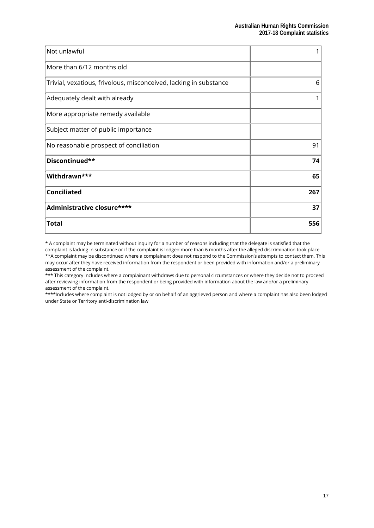| Not unlawful                                                      |     |
|-------------------------------------------------------------------|-----|
| More than 6/12 months old                                         |     |
| Trivial, vexatious, frivolous, misconceived, lacking in substance | 6   |
| Adequately dealt with already                                     |     |
| More appropriate remedy available                                 |     |
| Subject matter of public importance                               |     |
| No reasonable prospect of conciliation                            | 91  |
| Discontinued**                                                    | 74  |
| Withdrawn***                                                      | 65  |
| <b>Conciliated</b>                                                | 267 |
| Administrative closure****                                        | 37  |
| <b>Total</b>                                                      | 556 |

\* A complaint may be terminated without inquiry for a number of reasons including that the delegate is satisfied that the complaint is lacking in substance or if the complaint is lodged more than 6 months after the alleged discrimination took place \*\*A complaint may be discontinued where a complainant does not respond to the Commission's attempts to contact them. This may occur after they have received information from the respondent or been provided with information and/or a preliminary assessment of the complaint.

\*\*\* This category includes where a complainant withdraws due to personal circumstances or where they decide not to proceed after reviewing information from the respondent or being provided with information about the law and/or a preliminary assessment of the complaint.

\*\*\*\*Includes where complaint is not lodged by or on behalf of an aggrieved person and where a complaint has also been lodged under State or Territory anti-discrimination law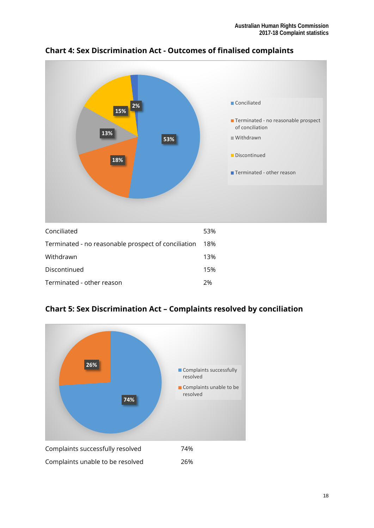

**Chart 4: Sex Discrimination Act - Outcomes of finalised complaints** 

| Conciliated                                         | 53%  |
|-----------------------------------------------------|------|
| Terminated - no reasonable prospect of conciliation | -18% |
| Withdrawn                                           | 13%  |
| Discontinued                                        | 15%  |
| Terminated - other reason                           | 2%   |
|                                                     |      |



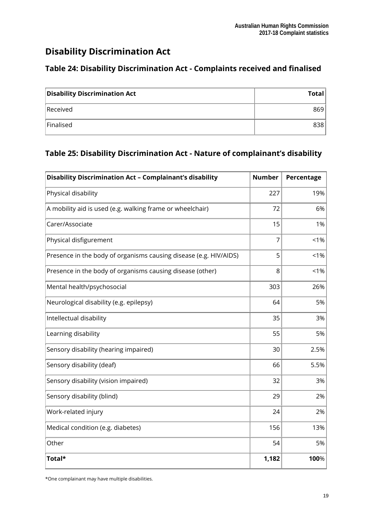## **Disability Discrimination Act**

## **Table 24: Disability Discrimination Act - Complaints received and finalised**

| <b>Disability Discrimination Act</b> | Total |
|--------------------------------------|-------|
| Received                             | 869   |
| Finalised                            | 838   |

#### **Table 25: Disability Discrimination Act - Nature of complainant's disability**

| <b>Disability Discrimination Act - Complainant's disability</b>   | <b>Number</b> | Percentage |
|-------------------------------------------------------------------|---------------|------------|
| Physical disability                                               | 227           | 19%        |
| A mobility aid is used (e.g. walking frame or wheelchair)         | 72            | 6%         |
| Carer/Associate                                                   | 15            | 1%         |
| Physical disfigurement                                            | 7             | $< 1\%$    |
| Presence in the body of organisms causing disease (e.g. HIV/AIDS) | 5             | $< 1\%$    |
| Presence in the body of organisms causing disease (other)         | 8             | < 1%       |
| Mental health/psychosocial                                        | 303           | 26%        |
| Neurological disability (e.g. epilepsy)                           | 64            | 5%         |
| Intellectual disability                                           | 35            | 3%         |
| Learning disability                                               | 55            | 5%         |
| Sensory disability (hearing impaired)                             | 30            | 2.5%       |
| Sensory disability (deaf)                                         | 66            | 5.5%       |
| Sensory disability (vision impaired)                              | 32            | 3%         |
| Sensory disability (blind)                                        | 29            | 2%         |
| Work-related injury                                               | 24            | 2%         |
| Medical condition (e.g. diabetes)                                 | 156           | 13%        |
| Other                                                             | 54            | 5%         |
| Total*                                                            | 1,182         | 100%       |

\*One complainant may have multiple disabilities.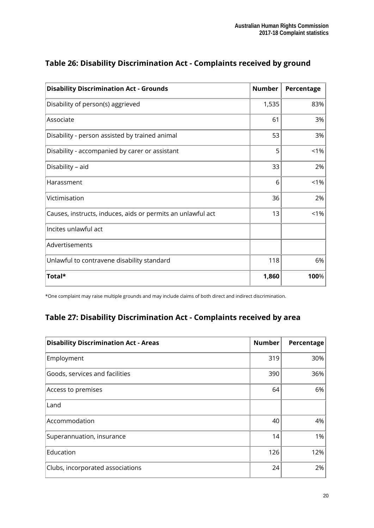| <b>Disability Discrimination Act - Grounds</b>              | <b>Number</b> | Percentage |
|-------------------------------------------------------------|---------------|------------|
| Disability of person(s) aggrieved                           | 1,535         | 83%        |
| Associate                                                   | 61            | 3%         |
| Disability - person assisted by trained animal              | 53            | 3%         |
| Disability - accompanied by carer or assistant              | 5             | $< 1\%$    |
| Disability - aid                                            | 33            | 2%         |
| Harassment                                                  | 6             | $< 1\%$    |
| Victimisation                                               | 36            | 2%         |
| Causes, instructs, induces, aids or permits an unlawful act | 13            | < 1%       |
| Incites unlawful act                                        |               |            |
| Advertisements                                              |               |            |
| Unlawful to contravene disability standard                  | 118           | 6%         |
| Total*                                                      | 1,860         | 100%       |

## **Table 26: Disability Discrimination Act - Complaints received by ground**

\*One complaint may raise multiple grounds and may include claims of both direct and indirect discrimination.

## **Table 27: Disability Discrimination Act - Complaints received by area**

| <b>Disability Discrimination Act - Areas</b> | <b>Number</b> | Percentage |
|----------------------------------------------|---------------|------------|
| Employment                                   | 319           | 30%        |
| Goods, services and facilities               | 390           | 36%        |
| Access to premises                           | 64            | 6%         |
| Land                                         |               |            |
| Accommodation                                | 40            | 4%         |
| Superannuation, insurance                    | 14            | 1%         |
| Education                                    | 126           | 12%        |
| Clubs, incorporated associations             | 24            | 2%         |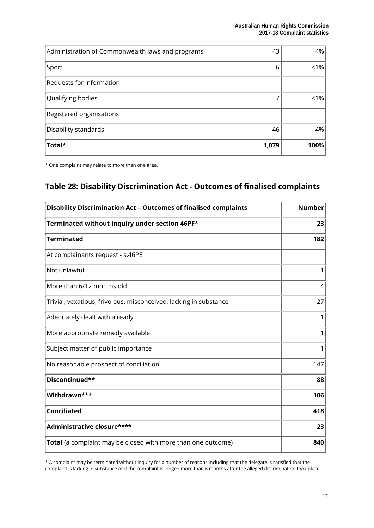| Administration of Commonwealth laws and programs | 43    | $4\%$ |
|--------------------------------------------------|-------|-------|
| Sport                                            | 6     | $1\%$ |
| Requests for information                         |       |       |
| Qualifying bodies                                |       | $1\%$ |
| Registered organisations                         |       |       |
| Disability standards                             | 46    | 4%    |
| Total*                                           | 1,079 | 100%  |

\* One complaint may relate to more than one area.

## **Table 28: Disability Discrimination Act - Outcomes of finalised complaints**

| <b>Disability Discrimination Act - Outcomes of finalised complaints</b> | <b>Number</b> |
|-------------------------------------------------------------------------|---------------|
| Terminated without inquiry under section 46PF*                          | 23            |
| <b>Terminated</b>                                                       | 182           |
| At complainants request - s.46PE                                        |               |
| Not unlawful                                                            | 1             |
| More than 6/12 months old                                               | 4             |
| Trivial, vexatious, frivolous, misconceived, lacking in substance       | 27            |
| Adequately dealt with already                                           | 1             |
| More appropriate remedy available                                       |               |
| Subject matter of public importance                                     | 1             |
| No reasonable prospect of conciliation                                  | 147           |
| Discontinued**                                                          | 88            |
| Withdrawn***                                                            | 106           |
| <b>Conciliated</b>                                                      | 418           |
| Administrative closure****                                              | 23            |
| <b>Total</b> (a complaint may be closed with more than one outcome)     | 840           |

\* A complaint may be terminated without inquiry for a number of reasons including that the delegate is satisfied that the complaint is lacking in substance or if the complaint is lodged more than 6 months after the alleged discrimination took place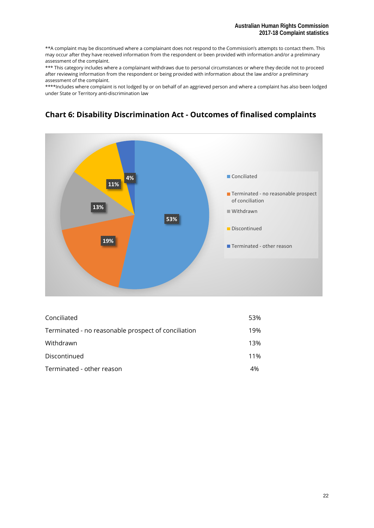\*\*A complaint may be discontinued where a complainant does not respond to the Commission's attempts to contact them. This may occur after they have received information from the respondent or been provided with information and/or a preliminary assessment of the complaint.

\*\*\* This category includes where a complainant withdraws due to personal circumstances or where they decide not to proceed after reviewing information from the respondent or being provided with information about the law and/or a preliminary assessment of the complaint.

\*\*\*\*Includes where complaint is not lodged by or on behalf of an aggrieved person and where a complaint has also been lodged under State or Territory anti-discrimination law



### **Chart 6: Disability Discrimination Act - Outcomes of finalised complaints**

| Conciliated                                         | 53% |
|-----------------------------------------------------|-----|
| Terminated - no reasonable prospect of conciliation | 19% |
| Withdrawn                                           | 13% |
| Discontinued                                        | 11% |
| Terminated - other reason                           | 4%  |
|                                                     |     |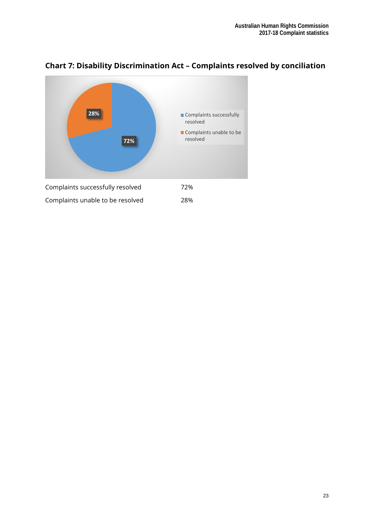

## **Chart 7: Disability Discrimination Act – Complaints resolved by conciliation**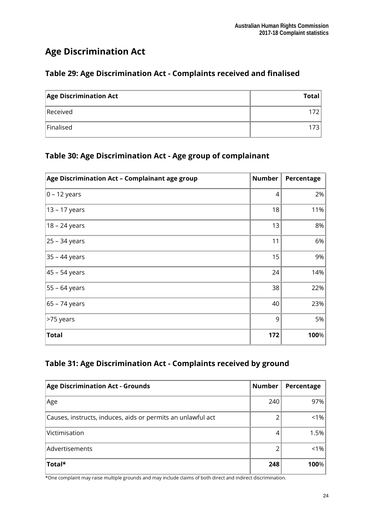## **Age Discrimination Act**

### **Table 29: Age Discrimination Act - Complaints received and finalised**

| <b>Age Discrimination Act</b> | <b>Total</b> |
|-------------------------------|--------------|
| Received                      |              |
| Finalised                     | 173.         |

### **Table 30: Age Discrimination Act - Age group of complainant**

| Age Discrimination Act - Complainant age group | <b>Number</b> | Percentage |
|------------------------------------------------|---------------|------------|
| $0 - 12$ years                                 | 4             | 2%         |
| 13 - 17 years                                  | 18            | 11%        |
| 18 - 24 years                                  | 13            | 8%         |
| 25 - 34 years                                  | 11            | 6%         |
| 35 - 44 years                                  | 15            | 9%         |
| 45 – 54 years                                  | 24            | 14%        |
| 55 - 64 years                                  | 38            | 22%        |
| 65 - 74 years                                  | 40            | 23%        |
| >75 years                                      | 9             | 5%         |
| <b>Total</b>                                   | 172           | 100%       |

### **Table 31: Age Discrimination Act - Complaints received by ground**

| <b>Age Discrimination Act - Grounds</b>                     | Number | Percentage |
|-------------------------------------------------------------|--------|------------|
| Age                                                         | 240    | 97%        |
| Causes, instructs, induces, aids or permits an unlawful act |        | $< 1\%$    |
| Victimisation                                               |        | 1.5%       |
| Advertisements                                              |        | $< 1\%$    |
| Total*                                                      | 248    | 100%       |

\*One complaint may raise multiple grounds and may include claims of both direct and indirect discrimination.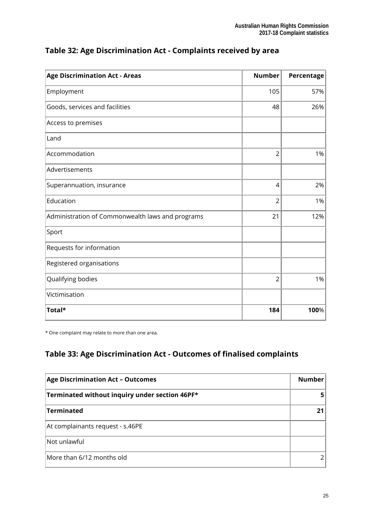| <b>Age Discrimination Act - Areas</b>            | <b>Number</b>  | Percentage |
|--------------------------------------------------|----------------|------------|
| Employment                                       | 105            | 57%        |
| Goods, services and facilities                   | 48             | 26%        |
| Access to premises                               |                |            |
| Land                                             |                |            |
| Accommodation                                    | $\overline{2}$ | 1%         |
| Advertisements                                   |                |            |
| Superannuation, insurance                        | 4              | 2%         |
| Education                                        | $\overline{2}$ | 1%         |
| Administration of Commonwealth laws and programs | 21             | 12%        |
| Sport                                            |                |            |
| Requests for information                         |                |            |
| Registered organisations                         |                |            |
| Qualifying bodies                                | $\overline{2}$ | 1%         |
| Victimisation                                    |                |            |
| Total*                                           | 184            | 100%       |

### **Table 32: Age Discrimination Act - Complaints received by area**

\* One complaint may relate to more than one area.

## **Table 33: Age Discrimination Act - Outcomes of finalised complaints**

| <b>Age Discrimination Act - Outcomes</b>       | <b>Number</b> |
|------------------------------------------------|---------------|
| Terminated without inquiry under section 46PF* |               |
| <b>Terminated</b>                              |               |
| At complainants request - s.46PE               |               |
| Not unlawful                                   |               |
| More than 6/12 months old                      |               |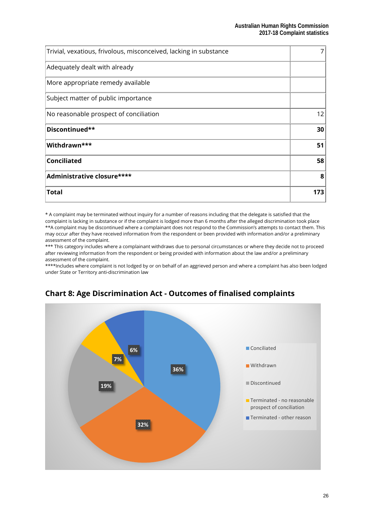| Trivial, vexatious, frivolous, misconceived, lacking in substance |     |
|-------------------------------------------------------------------|-----|
| Adequately dealt with already                                     |     |
| More appropriate remedy available                                 |     |
| Subject matter of public importance                               |     |
| No reasonable prospect of conciliation                            | 12  |
| Discontinued**                                                    | 30  |
| Withdrawn***                                                      | 51  |
| <b>Conciliated</b>                                                | 58  |
| Administrative closure****                                        | 8   |
| <b>Total</b>                                                      | 173 |

\* A complaint may be terminated without inquiry for a number of reasons including that the delegate is satisfied that the complaint is lacking in substance or if the complaint is lodged more than 6 months after the alleged discrimination took place \*\*A complaint may be discontinued where a complainant does not respond to the Commission's attempts to contact them. This may occur after they have received information from the respondent or been provided with information and/or a preliminary assessment of the complaint.

\*\*\* This category includes where a complainant withdraws due to personal circumstances or where they decide not to proceed after reviewing information from the respondent or being provided with information about the law and/or a preliminary assessment of the complaint.

\*\*\*\*Includes where complaint is not lodged by or on behalf of an aggrieved person and where a complaint has also been lodged under State or Territory anti-discrimination law



## **Chart 8: Age Discrimination Act - Outcomes of finalised complaints**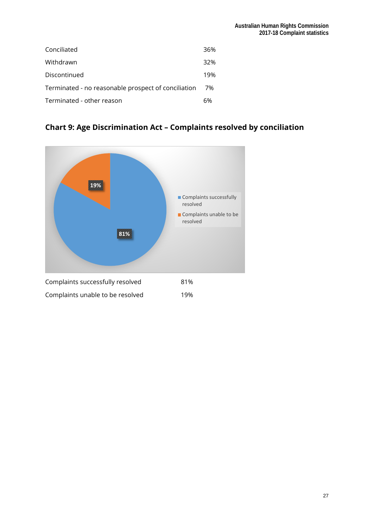| Conciliated                                         | 36% |
|-----------------------------------------------------|-----|
| Withdrawn                                           | 32% |
| Discontinued                                        | 19% |
| Terminated - no reasonable prospect of conciliation | 7%  |
| Terminated - other reason                           | 6%  |

## **Chart 9: Age Discrimination Act – Complaints resolved by conciliation**

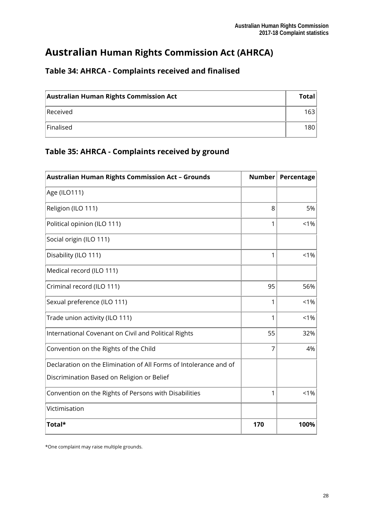## **Australian Human Rights Commission Act (AHRCA)**

| <b>Australian Human Rights Commission Act</b> | <b>Total</b> |
|-----------------------------------------------|--------------|
| Received                                      | 1631         |
| Finalised                                     | 180          |

### **Table 34: AHRCA - Complaints received and finalised**

## **Table 35: AHRCA - Complaints received by ground**

| <b>Australian Human Rights Commission Act - Grounds</b>           | <b>Number</b> | Percentage |
|-------------------------------------------------------------------|---------------|------------|
| Age (ILO111)                                                      |               |            |
| Religion (ILO 111)                                                | 8             | 5%         |
| Political opinion (ILO 111)                                       | 1             | $1\%$      |
| Social origin (ILO 111)                                           |               |            |
| Disability (ILO 111)                                              | 1             | $< 1\%$    |
| Medical record (ILO 111)                                          |               |            |
| Criminal record (ILO 111)                                         | 95            | 56%        |
| Sexual preference (ILO 111)                                       | 1             | 1%         |
| Trade union activity (ILO 111)                                    | 1             | < 1%       |
| International Covenant on Civil and Political Rights              | 55            | 32%        |
| Convention on the Rights of the Child                             | 7             | 4%         |
| Declaration on the Elimination of All Forms of Intolerance and of |               |            |
| Discrimination Based on Religion or Belief                        |               |            |
| Convention on the Rights of Persons with Disabilities             | 1             | $< 1\%$    |
| Victimisation                                                     |               |            |
| Total*                                                            | 170           | 100%       |

\*One complaint may raise multiple grounds.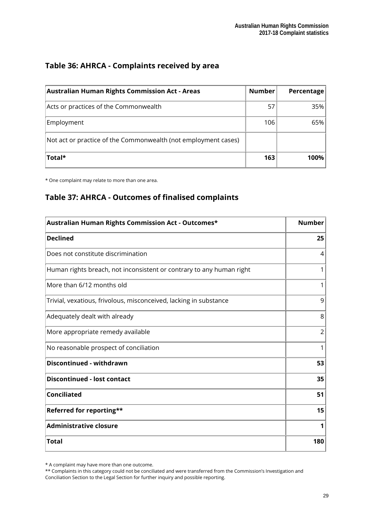#### **Table 36: AHRCA - Complaints received by area**

| <b>Australian Human Rights Commission Act - Areas</b>          | <b>Number</b> | Percentage |
|----------------------------------------------------------------|---------------|------------|
| Acts or practices of the Commonwealth                          | 57            | 35%        |
| Employment                                                     | 106           | 65%        |
| Not act or practice of the Commonwealth (not employment cases) |               |            |
| <b>Total*</b>                                                  | 163           | 100%       |

\* One complaint may relate to more than one area.

### **Table 37: AHRCA - Outcomes of finalised complaints**

| Australian Human Rights Commission Act - Outcomes*                   | <b>Number</b>  |
|----------------------------------------------------------------------|----------------|
| <b>Declined</b>                                                      | 25             |
| Does not constitute discrimination                                   | 4              |
| Human rights breach, not inconsistent or contrary to any human right | 1              |
| More than 6/12 months old                                            | 1              |
| Trivial, vexatious, frivolous, misconceived, lacking in substance    | 9              |
| Adequately dealt with already                                        | 8              |
| More appropriate remedy available                                    | $\overline{2}$ |
| No reasonable prospect of conciliation                               | 1              |
| Discontinued - withdrawn                                             | 53             |
| <b>Discontinued - lost contact</b>                                   | 35             |
| <b>Conciliated</b>                                                   | 51             |
| Referred for reporting**                                             | 15             |
| <b>Administrative closure</b>                                        | 1              |
| Total                                                                | 180            |

\* A complaint may have more than one outcome.

\*\* Complaints in this category could not be conciliated and were transferred from the Commission's Investigation and Conciliation Section to the Legal Section for further inquiry and possible reporting.